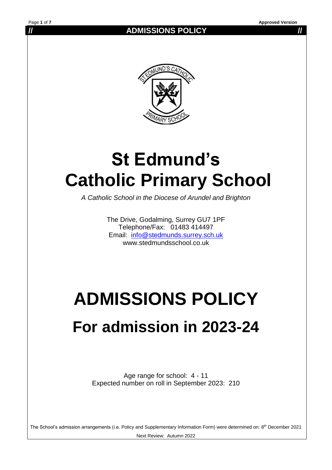**// ADMISSIONS POLICY //**



## **St Edmund's Catholic Primary School**

*A Catholic School in the Diocese of Arundel and Brighton*

The Drive, Godalming, Surrey GU7 1PF Telephone/Fax: 01483 414497 Email: [info@stedmunds.surrey.sch.uk](mailto:info@stedmunds.surrey.sch.uk)  www.stedmundsschool.co.uk

# **ADMISSIONS POLICY**

## **For admission in 2023-24**

Age range for school: 4 - 11 Expected number on roll in September 2023: 210

The School's admission arrangements (i.e. Policy and Supplementary Information Form) were determined on: 8<sup>th</sup> December 2021

Next Review: Autumn 2022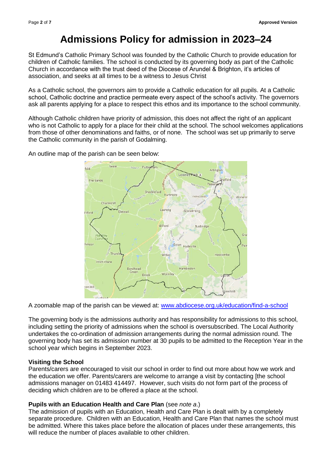### **Admissions Policy for admission in 2023–24**

St Edmund's Catholic Primary School was founded by the Catholic Church to provide education for children of Catholic families. The school is conducted by its governing body as part of the Catholic Church in accordance with the trust deed of the Diocese of Arundel & Brighton, it's articles of association, and seeks at all times to be a witness to Jesus Christ

As a Catholic school, the governors aim to provide a Catholic education for all pupils. At a Catholic school, Catholic doctrine and practice permeate every aspect of the school's activity. The governors ask all parents applying for a place to respect this ethos and its importance to the school community.

Although Catholic children have priority of admission, this does not affect the right of an applicant who is not Catholic to apply for a place for their child at the school. The school welcomes applications from those of other denominations and faiths, or of none. The school was set up primarily to serve the Catholic community in the parish of Godalming.

An outline map of the parish can be seen below:



A zoomable map of the parish can be viewed at: [www.abdiocese.org.uk/education/find-a-school](http://www.abdiocese.org.uk/education/find-a-school)

The governing body is the admissions authority and has responsibility for admissions to this school, including setting the priority of admissions when the school is oversubscribed. The Local Authority undertakes the co-ordination of admission arrangements during the normal admission round. The governing body has set its admission number at 30 pupils to be admitted to the Reception Year in the school year which begins in September 2023.

#### **Visiting the School**

Parents/carers are encouraged to visit our school in order to find out more about how we work and the education we offer. Parents/carers are welcome to arrange a visit by contacting [the school admissions manager on 01483 414497. However, such visits do not form part of the process of deciding which children are to be offered a place at the school.

#### **Pupils with an Education Health and Care Plan** (see *note a*.)

The admission of pupils with an Education, Health and Care Plan is dealt with by a completely separate procedure. Children with an Education, Health and Care Plan that names the school must be admitted. Where this takes place before the allocation of places under these arrangements, this will reduce the number of places available to other children.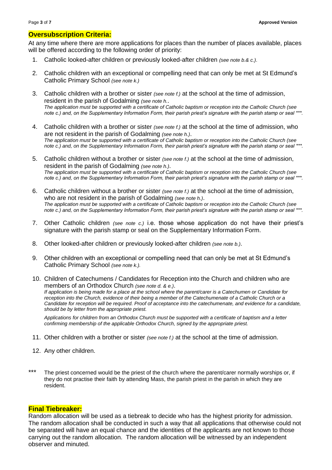#### **Oversubscription Criteria:**

At any time where there are more applications for places than the number of places available, places will be offered according to the following order of priority:

- 1. Catholic looked-after children or previously looked-after children *(see note b.& c.)*.
- 2. Catholic children with an exceptional or compelling need that can only be met at St Edmund's Catholic Primary School *(see note k.)*
- 3. Catholic children with a brother or sister *(see note f.)* at the school at the time of admission, resident in the parish of Godalming *(see note h.*. *The application must be supported with a certificate of Catholic baptism or reception into the Catholic Church (see note c.) and, on the Supplementary Information Form, their parish priest's signature with the parish stamp or seal \*\*\*.*
- 4. Catholic children with a brother or sister *(see note f.)* at the school at the time of admission, who are not resident in the parish of Godalming *(see note h.)*. *The application must be supported with a certificate of Catholic baptism or reception into the Catholic Church (see note c.) and, on the Supplementary Information Form, their parish priest's signature with the parish stamp or seal \*\*\*.*
- 5. Catholic children without a brother or sister *(see note f.)* at the school at the time of admission, resident in the parish of Godalming *(see note h.)*. *The application must be supported with a certificate of Catholic baptism or reception into the Catholic Church (see note c.) and, on the Supplementary Information Form, their parish priest's signature with the parish stamp or seal \*\*\*.*
- 6. Catholic children without a brother or sister *(see note f.)* at the school at the time of admission, who are not resident in the parish of Godalming *(see note h.)*. *The application must be supported with a certificate of Catholic baptism or reception into the Catholic Church (see note c.) and, on the Supplementary Information Form, their parish priest's signature with the parish stamp or seal \*\*\*.*
- 7. Other Catholic children *(see note c.)* i.e. those whose application do not have their priest's signature with the parish stamp or seal on the Supplementary Information Form.
- 8. Other looked-after children or previously looked-after children *(see note b.)*.
- 9. Other children with an exceptional or compelling need that can only be met at St Edmund's Catholic Primary School *(see note k.).*
- 10. Children of Catechumens / Candidates for Reception into the Church and children who are members of an Orthodox Church *(see note d. & e.)*. *If application is being made for a place at the school where the parent/carer is a Catechumen or Candidate for reception into the Church, evidence of their being a member of the Catechumenate of a Catholic Church or a Candidate for reception will be required. Proof of acceptance into the catechumenate, and evidence for a candidate, should be by letter from the appropriate priest.*

*Applications for children from an Orthodox Church must be supported with a certificate of baptism and a letter confirming membership of the applicable Orthodox Church, signed by the appropriate priest.*

- 11. Other children with a brother or sister *(see note f.)* at the school at the time of admission.
- 12. Any other children.
- \*\*\* The priest concerned would be the priest of the church where the parent/carer normally worships or, if they do not practise their faith by attending Mass, the parish priest in the parish in which they are resident.

#### **Final Tiebreaker:**

Random allocation will be used as a tiebreak to decide who has the highest priority for admission. The random allocation shall be conducted in such a way that all applications that otherwise could not be separated will have an equal chance and the identities of the applicants are not known to those carrying out the random allocation. The random allocation will be witnessed by an independent observer and minuted.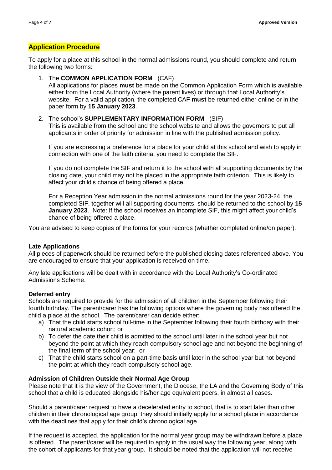#### **Application Procedure**

To apply for a place at this school in the normal admissions round, you should complete and return the following two forms:

*\_\_\_\_\_\_\_\_\_\_\_\_\_\_\_\_\_\_\_\_\_\_\_\_\_\_\_\_\_\_\_\_\_\_\_\_\_\_\_\_\_\_\_\_\_\_\_\_\_\_\_\_\_\_\_\_\_\_\_\_\_\_\_\_\_\_\_\_\_\_\_\_\_\_\_\_\_\_\_\_\_\_\_\_\_*

1. The **COMMON APPLICATION FORM** (CAF) All applications for places **must** be made on the Common Application Form which is available either from the Local Authority (where the parent lives) or through that Local Authority's website. For a valid application, the completed CAF **must** be returned either online or in the paper form by **15 January 2023**.

#### 2. The school's **SUPPLEMENTARY INFORMATION FORM** (SIF) This is available from the school and the school website and allows the governors to put all applicants in order of priority for admission in line with the published admission policy.

If you are expressing a preference for a place for your child at this school and wish to apply in connection with one of the faith criteria, you need to complete the SIF.

If you do not complete the SIF and return it to the school with all supporting documents by the closing date, your child may not be placed in the appropriate faith criterion. This is likely to affect your child's chance of being offered a place.

For a Reception Year admission in the normal admissions round for the year 2023-24, the completed SIF, together will all supporting documents, should be returned to the school by **15 January 2023**. Note: If the school receives an incomplete SIF, this might affect your child's chance of being offered a place.

You are advised to keep copies of the forms for your records (whether completed online/on paper).

#### **Late Applications**

All pieces of paperwork should be returned before the published closing dates referenced above. You are encouraged to ensure that your application is received on time.

Any late applications will be dealt with in accordance with the Local Authority's Co-ordinated Admissions Scheme.

#### **Deferred entry**

Schools are required to provide for the admission of all children in the September following their fourth birthday. The parent/carer has the following options where the governing body has offered the child a place at the school. The parent/carer can decide either:

- a) That the child starts school full-time in the September following their fourth birthday with their natural academic cohort; or
- b) To defer the date their child is admitted to the school until later in the school year but not beyond the point at which they reach compulsory school age and not beyond the beginning of the final term of the school year; or
- c) That the child starts school on a part-time basis until later in the school year but not beyond the point at which they reach compulsory school age.

#### **Admission of Children Outside their Normal Age Group**

Please note that it is the view of the Government, the Diocese, the LA and the Governing Body of this school that a child is educated alongside his/her age equivalent peers, in almost all cases.

Should a parent/carer request to have a decelerated entry to school, that is to start later than other children in their chronological age group, they should initially apply for a school place in accordance with the deadlines that apply for their child's chronological age.

If the request is accepted, the application for the normal year group may be withdrawn before a place is offered. The parent/carer will be required to apply in the usual way the following year, along with the cohort of applicants for that year group. It should be noted that the application will not receive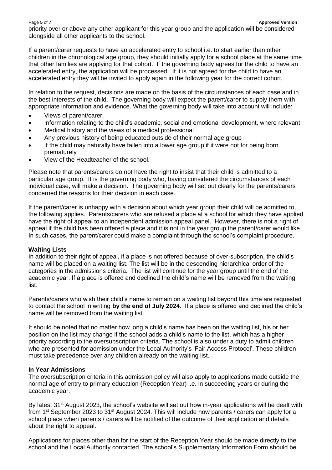priority over or above any other applicant for this year group and the application will be considered alongside all other applicants to the school.

If a parent/carer requests to have an accelerated entry to school i.e. to start earlier than other children in the chronological age group, they should initially apply for a school place at the same time that other families are applying for that cohort. If the governing body agrees for the child to have an accelerated entry, the application will be processed. If it is not agreed for the child to have an accelerated entry they will be invited to apply again in the following year for the correct cohort.

In relation to the request, decisions are made on the basis of the circumstances of each case and in the best interests of the child. The governing body will expect the parent/carer to supply them with appropriate information and evidence. What the governing body will take into account will include:

- Views of parent/carer
- Information relating to the child's academic, social and emotional development, where relevant
- Medical history and the views of a medical professional
- Any previous history of being educated outside of their normal age group
- If the child may naturally have fallen into a lower age group if it were not for being born prematurely
- View of the Headteacher of the school.

Please note that parents/carers do not have the right to insist that their child is admitted to a particular age group. It is the governing body who, having considered the circumstances of each individual case, will make a decision. The governing body will set out clearly for the parents/carers concerned the reasons for their decision in each case.

If the parent/carer is unhappy with a decision about which year group their child will be admitted to, the following applies. Parents/carers who are refused a place at a school for which they have applied have the right of appeal to an independent admission appeal panel. However, there is not a right of appeal if the child has been offered a place and it is not in the year group the parent/carer would like. In such cases, the parent/carer could make a complaint through the school's complaint procedure.

#### **Waiting Lists**

In addition to their right of appeal, if a place is not offered because of over-subscription, the child's name will be placed on a waiting list. The list will be in the descending hierarchical order of the categories in the admissions criteria. The list will continue for the year group until the end of the academic year. If a place is offered and declined the child's name will be removed from the waiting list.

Parents/carers who wish their child's name to remain on a waiting list beyond this time are requested to contact the school in writing **by the end of July 2024**. If a place is offered and declined the child's name will be removed from the waiting list.

It should be noted that no matter how long a child's name has been on the waiting list, his or her position on the list may change if the school adds a child's name to the list, which has a higher priority according to the oversubscription criteria. The school is also under a duty to admit children who are presented for admission under the Local Authority's 'Fair Access Protocol'. These children must take precedence over any children already on the waiting list.

#### **In Year Admissions**

The oversubscription criteria in this admission policy will also apply to applications made outside the normal age of entry to primary education (Reception Year) i.e. in succeeding years or during the academic year.

By latest 31<sup>st</sup> August 2023, the school's website will set out how in-year applications will be dealt with from 1st September 2023 to 31st August 2024. This will include how parents / carers can apply for a school place when parents / carers will be notified of the outcome of their application and details about the right to appeal.

Applications for places other than for the start of the Reception Year should be made directly to the school and the Local Authority contacted. The school's Supplementary Information Form should be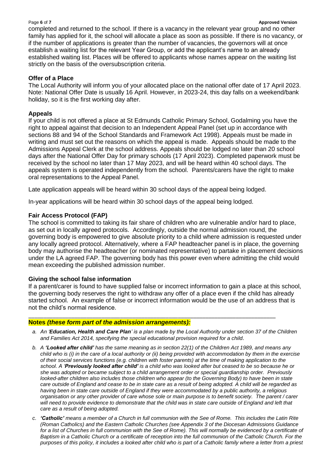#### Page **6** of **7 Approved Version**

completed and returned to the school. If there is a vacancy in the relevant year group and no other family has applied for it, the school will allocate a place as soon as possible. If there is no vacancy, or if the number of applications is greater than the number of vacancies, the governors will at once establish a waiting list for the relevant Year Group, or add the applicant's name to an already established waiting list. Places will be offered to applicants whose names appear on the waiting list strictly on the basis of the oversubscription criteria.

#### **Offer of a Place**

The Local Authority will inform you of your allocated place on the national offer date of 17 April 2023. Note: National Offer Date is usually 16 April. However, in 2023-24, this day falls on a weekend/bank holiday, so it is the first working day after.

#### **Appeals**

If your child is not offered a place at St Edmunds Catholic Primary School, Godalming you have the right to appeal against that decision to an Independent Appeal Panel (set up in accordance with sections 88 and 94 of the School Standards and Framework Act 1998). Appeals must be made in writing and must set out the reasons on which the appeal is made. Appeals should be made to the Admissions Appeal Clerk at the school address. Appeals should be lodged no later than 20 school days after the National Offer Day for primary schools (17 April 2023). Completed paperwork must be received by the school no later than 17 May 2023, and will be heard within 40 school days. The appeals system is operated independently from the school. Parents/carers have the right to make oral representations to the Appeal Panel.

Late application appeals will be heard within 30 school days of the appeal being lodged.

In-year applications will be heard within 30 school days of the appeal being lodged.

#### **Fair Access Protocol (FAP)**

The school is committed to taking its fair share of children who are vulnerable and/or hard to place, as set out in locally agreed protocols. Accordingly, outside the normal admission round, the governing body is empowered to give absolute priority to a child where admission is requested under any locally agreed protocol. Alternatively, where a FAP headteacher panel is in place, the governing body may authorise the headteacher (or nominated representative) to partake in placement decisions under the LA agreed FAP. The governing body has this power even where admitting the child would mean exceeding the published admission number.

#### **Giving the school false information**

If a parent/carer is found to have supplied false or incorrect information to gain a place at this school, the governing body reserves the right to withdraw any offer of a place even if the child has already started school. An example of false or incorrect information would be the use of an address that is not the child's normal residence.

#### **Notes** *(these form part of the admission arrangements):*

*a. An 'Education, Health and Care Plan' is a plan made by the Local Authority under section 37 of the Children and Families Act 2014, specifying the special educational provision required for a child.*

\_\_\_\_\_\_\_\_\_\_\_\_\_\_\_\_\_\_\_\_\_\_\_\_\_\_\_\_\_\_\_\_\_\_\_\_\_\_\_\_\_\_\_\_\_\_\_\_\_\_\_\_\_\_\_\_\_\_\_\_\_\_\_\_\_\_\_\_\_\_\_\_\_\_\_\_\_\_\_\_\_

- *b. A 'Looked after child' has the same meaning as in section 22(1) of the Children Act 1989, and means any child who is (i) in the care of a local authority or (ii) being provided with accommodation by them in the exercise of their social services functions (e.g. children with foster parents) at the time of making application to the school. A 'Previously looked after child' is a child who was looked after but ceased to be so because he or she was adopted or became subject to a child arrangement order or special guardianship order. Previously looked-after children also includes those children who appear (to the Governing Body) to have been in state care outside of England and cease to be in state care as a result of being adopted. A child will be regarded as having been in state care outside of England if they were accommodated by a public authority, a religious organisation or any other provider of care whose sole or main purpose is to benefit society. The parent / carer will need to provide evidence to demonstrate that the child was in state care outside of England and left that care as a result of being adopted.*
- *c. 'Catholic' means a member of a Church in full communion with the See of Rome. This includes the Latin Rite (Roman Catholics) and the Eastern Catholic Churches (see Appendix 3 of the Diocesan Admissions Guidance*  for a list of Churches in full communion with the See of Rome). This will normally be evidenced by a certificate of *Baptism in a Catholic Church or a certificate of reception into the full communion of the Catholic Church. For the purposes of this policy, it includes a looked after child who is part of a Catholic family where a letter from a priest*